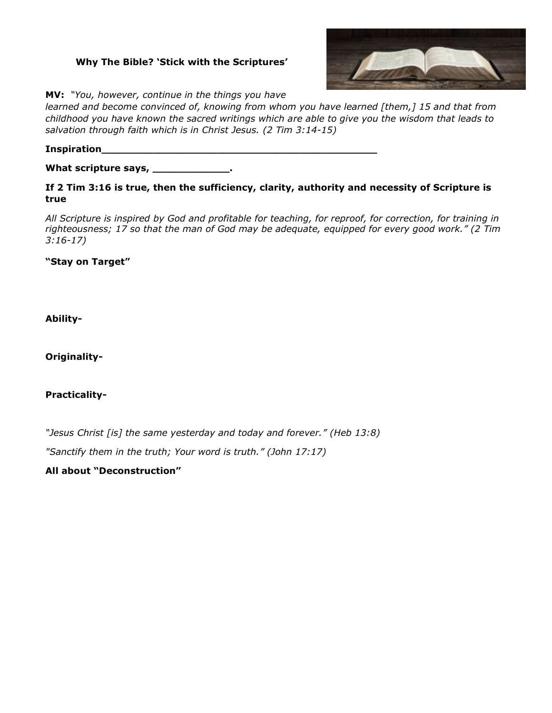## **Why The Bible? 'Stick with the Scriptures'**



**MV:** *"You, however, continue in the things you have* 

*learned and become convinced of, knowing from whom you have learned [them,] 15 and that from childhood you have known the sacred writings which are able to give you the wisdom that leads to salvation through faith which is in Christ Jesus. (2 Tim 3:14-15)*

**Inspiration\_\_\_\_\_\_\_\_\_\_\_\_\_\_\_\_\_\_\_\_\_\_\_\_\_\_\_\_\_\_\_\_\_\_\_\_\_\_\_\_\_\_\_**

**What scripture says, \_\_\_\_\_\_\_\_\_\_\_\_.**

**If 2 Tim 3:16 is true, then the sufficiency, clarity, authority and necessity of Scripture is true**

*All Scripture is inspired by God and profitable for teaching, for reproof, for correction, for training in righteousness; 17 so that the man of God may be adequate, equipped for every good work." (2 Tim 3:16-17)*

**"Stay on Target"**

**Ability-**

**Originality-**

**Practicality-**

*"Jesus Christ [is] the same yesterday and today and forever." (Heb 13:8) "Sanctify them in the truth; Your word is truth." (John 17:17)*

**All about "Deconstruction"**